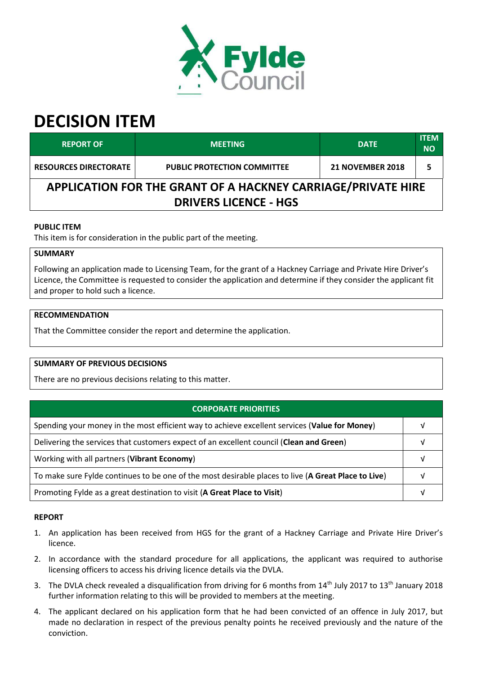

# **DECISION ITEM**

| <b>REPORT OF</b>                                             | <b>MEETING</b>                     | <b>DATE</b>             | <b>ITEM</b><br><b>NO</b> |  |  |
|--------------------------------------------------------------|------------------------------------|-------------------------|--------------------------|--|--|
| <b>RESOURCES DIRECTORATE</b>                                 | <b>PUBLIC PROTECTION COMMITTEE</b> | <b>21 NOVEMBER 2018</b> |                          |  |  |
| APPLICATION FOR THE GRANT OF A HACKNEY CARRIAGE/PRIVATE HIRE |                                    |                         |                          |  |  |
| <b>DRIVERS LICENCE - HGS</b>                                 |                                    |                         |                          |  |  |

## **PUBLIC ITEM**

This item is for consideration in the public part of the meeting.

#### **SUMMARY**

Following an application made to Licensing Team, for the grant of a Hackney Carriage and Private Hire Driver's Licence, the Committee is requested to consider the application and determine if they consider the applicant fit and proper to hold such a licence.

### **RECOMMENDATION**

That the Committee consider the report and determine the application.

### **SUMMARY OF PREVIOUS DECISIONS**

There are no previous decisions relating to this matter.

| <b>CORPORATE PRIORITIES</b>                                                                         |  |  |
|-----------------------------------------------------------------------------------------------------|--|--|
| Spending your money in the most efficient way to achieve excellent services (Value for Money)       |  |  |
| Delivering the services that customers expect of an excellent council (Clean and Green)             |  |  |
| Working with all partners (Vibrant Economy)                                                         |  |  |
| To make sure Fylde continues to be one of the most desirable places to live (A Great Place to Live) |  |  |
| Promoting Fylde as a great destination to visit (A Great Place to Visit)                            |  |  |

#### **REPORT**

- 1. An application has been received from HGS for the grant of a Hackney Carriage and Private Hire Driver's licence.
- 2. In accordance with the standard procedure for all applications, the applicant was required to authorise licensing officers to access his driving licence details via the DVLA.
- 3. The DVLA check revealed a disqualification from driving for 6 months from 14<sup>th</sup> July 2017 to 13<sup>th</sup> January 2018 further information relating to this will be provided to members at the meeting.
- 4. The applicant declared on his application form that he had been convicted of an offence in July 2017, but made no declaration in respect of the previous penalty points he received previously and the nature of the conviction.